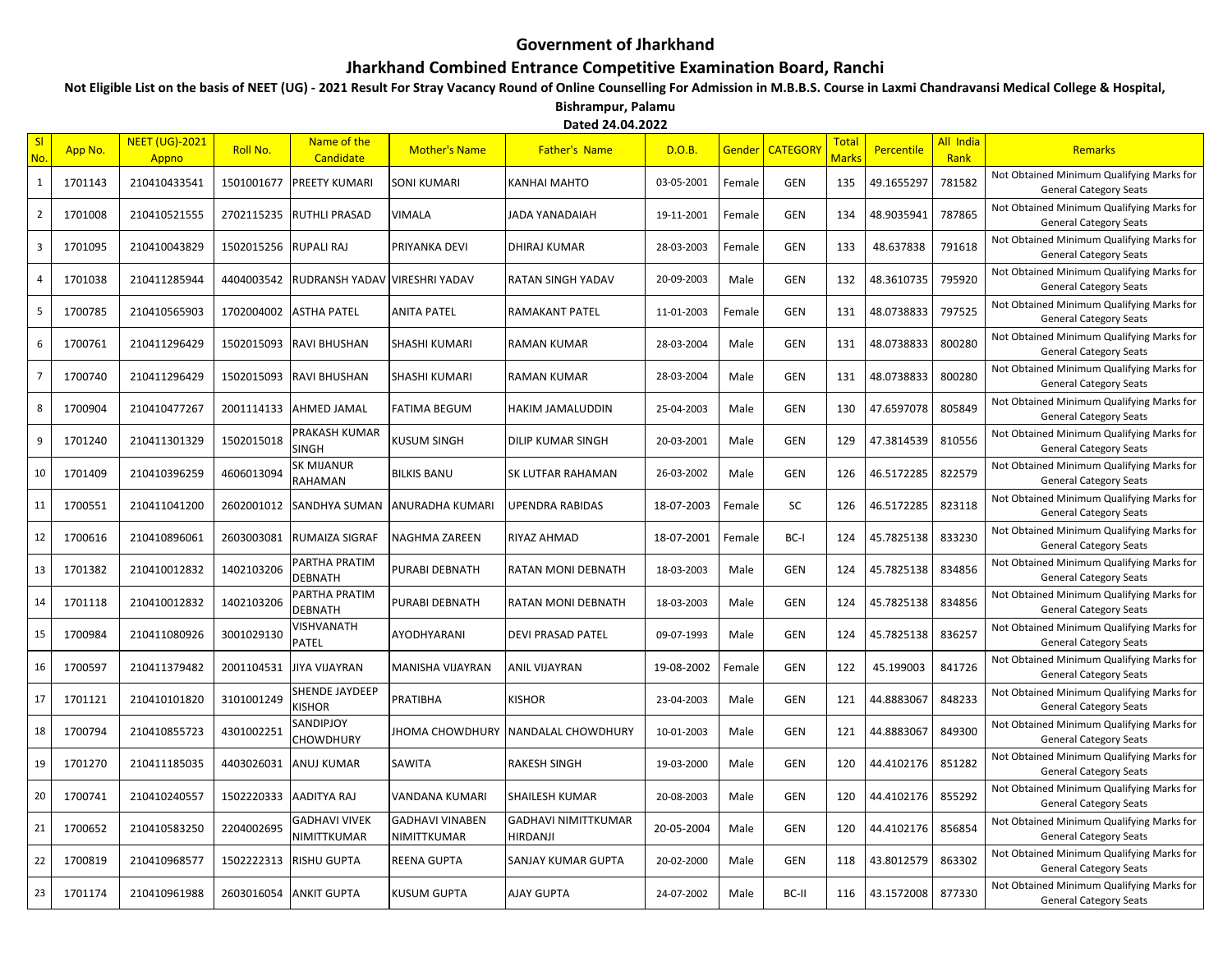## **Government of Jharkhand**

## **Jharkhand Combined Entrance Competitive Examination Board, Ranchi**

**Not Eligible List on the basis of NEET (UG) - 2021 Result For Stray Vacancy Round of Online Counselling For Admission in M.B.B.S. Course in Laxmi Chandravansi Medical College & Hospital, Bishrampur, Palamu**

**Dated 24.04.2022**

| S <sub>l</sub><br>No. | App No. | <b>NEET (UG)-2021</b><br>Appno | Roll No.   | Name of the<br><b>Candidate</b> | <b>Mother's Name</b>                  | <b>Father's Name</b>                   | D.O.B.     | Gender | <b>CATEGORY</b> | <b>Total</b><br>Marks | Percentile | All India<br>Rank | Remarks                                                                    |
|-----------------------|---------|--------------------------------|------------|---------------------------------|---------------------------------------|----------------------------------------|------------|--------|-----------------|-----------------------|------------|-------------------|----------------------------------------------------------------------------|
| $\mathbf{1}$          | 1701143 | 210410433541                   | 1501001677 | PREETY KUMARI                   | <b>SONI KUMARI</b>                    | <b>KANHAI MAHTO</b>                    | 03-05-2001 | Female | <b>GEN</b>      | 135                   | 49.1655297 | 781582            | Not Obtained Minimum Qualifying Marks for<br><b>General Category Seats</b> |
| $\overline{2}$        | 1701008 | 210410521555                   | 2702115235 | <b>RUTHLI PRASAD</b>            | <b>VIMALA</b>                         | JADA YANADAIAH                         | 19-11-2001 | Female | GEN             | 134                   | 48.9035941 | 787865            | Not Obtained Minimum Qualifying Marks for<br><b>General Category Seats</b> |
| 3                     | 1701095 | 210410043829                   | 1502015256 | <b>RUPALI RAJ</b>               | PRIYANKA DEVI                         | <b>DHIRAJ KUMAR</b>                    | 28-03-2003 | Female | GEN             | 133                   | 48.637838  | 791618            | Not Obtained Minimum Qualifying Marks for<br><b>General Category Seats</b> |
| 4                     | 1701038 | 210411285944                   | 4404003542 | RUDRANSH YADAV VIRESHRI YADAV   |                                       | RATAN SINGH YADAV                      | 20-09-2003 | Male   | GEN             | 132                   | 48.3610735 | 795920            | Not Obtained Minimum Qualifying Marks for<br><b>General Category Seats</b> |
| 5                     | 1700785 | 210410565903                   | 1702004002 | <b>ASTHA PATEL</b>              | <b>ANITA PATEL</b>                    | <b>RAMAKANT PATEL</b>                  | 11-01-2003 | Female | GEN             | 131                   | 48.0738833 | 797525            | Not Obtained Minimum Qualifying Marks for<br><b>General Category Seats</b> |
| 6                     | 1700761 | 210411296429                   | 1502015093 | <b>RAVI BHUSHAN</b>             | SHASHI KUMARI                         | RAMAN KUMAR                            | 28-03-2004 | Male   | GEN             | 131                   | 48.0738833 | 800280            | Not Obtained Minimum Qualifying Marks for<br><b>General Category Seats</b> |
| $\overline{7}$        | 1700740 | 210411296429                   | 1502015093 | <b>RAVI BHUSHAN</b>             | SHASHI KUMARI                         | <b>RAMAN KUMAR</b>                     | 28-03-2004 | Male   | GEN             | 131                   | 48.0738833 | 800280            | Not Obtained Minimum Qualifying Marks for<br><b>General Category Seats</b> |
| 8                     | 1700904 | 210410477267                   | 2001114133 | AHMED JAMAL                     | <b>FATIMA BEGUM</b>                   | HAKIM JAMALUDDIN                       | 25-04-2003 | Male   | <b>GEN</b>      | 130                   | 47.6597078 | 805849            | Not Obtained Minimum Qualifying Marks for<br><b>General Category Seats</b> |
| 9                     | 1701240 | 210411301329                   | 1502015018 | PRAKASH KUMAR<br>SINGH          | <b>KUSUM SINGH</b>                    | <b>DILIP KUMAR SINGH</b>               | 20-03-2001 | Male   | GEN             | 129                   | 47.3814539 | 810556            | Not Obtained Minimum Qualifying Marks for<br><b>General Category Seats</b> |
| 10                    | 1701409 | 210410396259                   | 4606013094 | SK MIJANUR<br>RAHAMAN           | <b>BILKIS BANU</b>                    | <b>SK LUTFAR RAHAMAN</b>               | 26-03-2002 | Male   | GEN             | 126                   | 46.5172285 | 822579            | Not Obtained Minimum Qualifying Marks for<br><b>General Category Seats</b> |
| 11                    | 1700551 | 210411041200                   | 2602001012 | <b>SANDHYA SUMAN</b>            | ANURADHA KUMARI                       | <b>UPENDRA RABIDAS</b>                 | 18-07-2003 | Female | <b>SC</b>       | 126                   | 46.5172285 | 823118            | Not Obtained Minimum Qualifying Marks for<br><b>General Category Seats</b> |
| 12                    | 1700616 | 210410896061                   | 2603003081 | <b>RUMAIZA SIGRAF</b>           | NAGHMA ZAREEN                         | RIYAZ AHMAD                            | 18-07-2001 | Female | BC-I            | 124                   | 45.7825138 | 833230            | Not Obtained Minimum Qualifying Marks for<br><b>General Category Seats</b> |
| 13                    | 1701382 | 210410012832                   | 1402103206 | PARTHA PRATIM<br>DEBNATH        | PURABI DEBNATH                        | RATAN MONI DEBNATH                     | 18-03-2003 | Male   | GEN             | 124                   | 45.7825138 | 834856            | Not Obtained Minimum Qualifying Marks for<br><b>General Category Seats</b> |
| 14                    | 1701118 | 210410012832                   | 1402103206 | PARTHA PRATIM<br>DEBNATH        | PURABI DEBNATH                        | RATAN MONI DEBNATH                     | 18-03-2003 | Male   | GEN             | 124                   | 45.7825138 | 834856            | Not Obtained Minimum Qualifying Marks for<br><b>General Category Seats</b> |
| 15                    | 1700984 | 210411080926                   | 3001029130 | VISHVANATH<br>PATEL             | AYODHYARANI                           | <b>DEVI PRASAD PATEL</b>               | 09-07-1993 | Male   | GEN             | 124                   | 45.7825138 | 836257            | Not Obtained Minimum Qualifying Marks for<br><b>General Category Seats</b> |
| 16                    | 1700597 | 210411379482                   | 2001104531 | <b>JIYA VIJAYRAN</b>            | MANISHA VIJAYRAN                      | <b>ANIL VIJAYRAN</b>                   | 19-08-2002 | Female | <b>GEN</b>      | 122                   | 45.199003  | 841726            | Not Obtained Minimum Qualifying Marks for<br><b>General Category Seats</b> |
| 17                    | 1701121 | 210410101820                   | 3101001249 | SHENDE JAYDEEP<br><b>KISHOR</b> | PRATIBHA                              | <b>KISHOR</b>                          | 23-04-2003 | Male   | GEN             | 121                   | 44.8883067 | 848233            | Not Obtained Minimum Qualifying Marks for<br><b>General Category Seats</b> |
| 18                    | 1700794 | 210410855723                   | 4301002251 | SANDIPJOY<br>CHOWDHURY          | <b>JHOMA CHOWDHURY</b>                | NANDALAL CHOWDHURY                     | 10-01-2003 | Male   | <b>GEN</b>      | 121                   | 44.8883067 | 849300            | Not Obtained Minimum Qualifying Marks for<br><b>General Category Seats</b> |
| 19                    | 1701270 | 210411185035                   | 4403026031 | ANUJ KUMAR                      | SAWITA                                | <b>RAKESH SINGH</b>                    | 19-03-2000 | Male   | <b>GEN</b>      | 120                   | 44.4102176 | 851282            | Not Obtained Minimum Qualifying Marks for<br><b>General Category Seats</b> |
| 20                    | 1700741 | 210410240557                   | 1502220333 | AADITYA RAJ                     | VANDANA KUMARI                        | <b>SHAILESH KUMAR</b>                  | 20-08-2003 | Male   | GEN             | 120                   | 44.4102176 | 855292            | Not Obtained Minimum Qualifying Marks for<br><b>General Category Seats</b> |
| 21                    | 1700652 | 210410583250                   | 2204002695 | GADHAVI VIVEK<br>NIMITTKUMAR    | <b>GADHAVI VINABEN</b><br>NIMITTKUMAR | <b>GADHAVI NIMITTKUMAR</b><br>HIRDANJI | 20-05-2004 | Male   | GEN             | 120                   | 44.4102176 | 856854            | Not Obtained Minimum Qualifying Marks for<br><b>General Category Seats</b> |
| 22                    | 1700819 | 210410968577                   | 1502222313 | <b>RISHU GUPTA</b>              | <b>REENA GUPTA</b>                    | <b>SANJAY KUMAR GUPTA</b>              | 20-02-2000 | Male   | GEN             | 118                   | 43.8012579 | 863302            | Not Obtained Minimum Qualifying Marks for<br><b>General Category Seats</b> |
| 23                    | 1701174 | 210410961988                   |            | 2603016054 ANKIT GUPTA          | KUSUM GUPTA                           | <b>AJAY GUPTA</b>                      | 24-07-2002 | Male   | BC-II           | 116                   | 43.1572008 | 877330            | Not Obtained Minimum Qualifying Marks for<br><b>General Category Seats</b> |